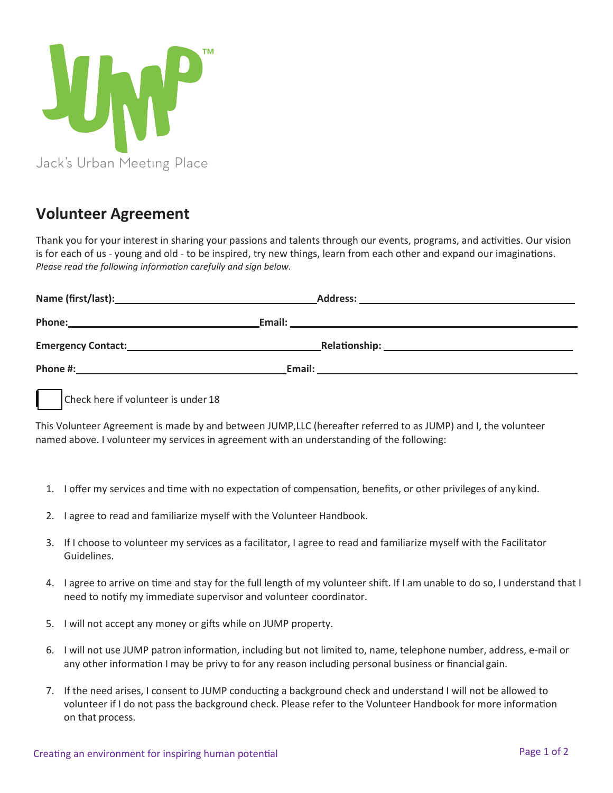

## **Volunteer Agreement**

Thank you for your interest in sharing your passions and talents through our events, programs, and activities. Our vision is for each of us - young and old - to be inspired, try new things, learn from each other and expand our imaginations. *Please read the following information carefully and sign below.*

| Phone: 2008 2010 2010 2010 2010 2011 2021 2022 2023 2024 2022 2023 2024 2022 2023 2024 2022 2023 2024 2025 20 |  |
|---------------------------------------------------------------------------------------------------------------|--|
|                                                                                                               |  |
|                                                                                                               |  |

Check here if volunteer is under 18

This Volunteer Agreement is made by and between JUMP,LLC (hereafter referred to as JUMP) and I, the volunteer named above. I volunteer my services in agreement with an understanding of the following:

- 1. I offer my services and time with no expectation of compensation, benefits, or other privileges of any kind.
- 2. I agree to read and familiarize myself with the Volunteer Handbook.
- 3. If I choose to volunteer my services as a facilitator, I agree to read and familiarize myself with the Facilitator Guidelines.
- 4. I agree to arrive on time and stay for the full length of my volunteer shift. If I am unable to do so, I understand that I need to notify my immediate supervisor and volunteer coordinator.
- 5. I will not accept any money or gifts while on JUMP property.
- 6. I will not use JUMP patron information, including but not limited to, name, telephone number, address, e-mail or any other information I may be privy to for any reason including personal business or financial gain.
- 7. If the need arises, I consent to JUMP conducting a background check and understand I will not be allowed to volunteer if I do not pass the background check. Please refer to the Volunteer Handbook for more information on that process.